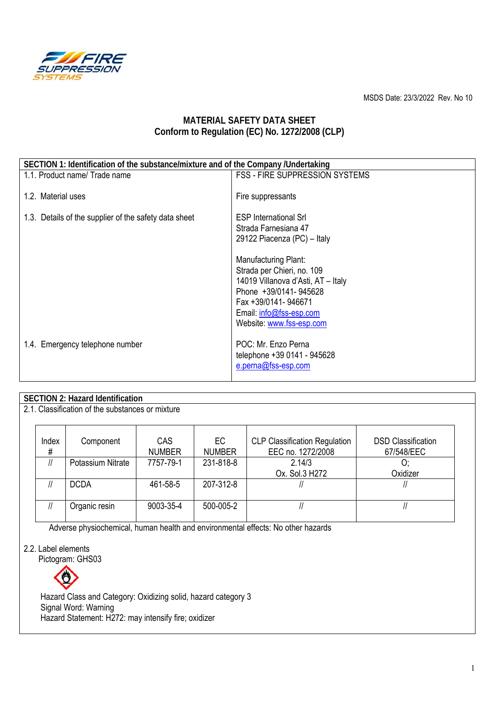

# **MATERIAL SAFETY DATA SHEET Conform to Regulation (EC) No. 1272/2008 (CLP)**

| SECTION 1: Identification of the substance/mixture and of the Company /Undertaking |                                                                                                                                                                                                 |
|------------------------------------------------------------------------------------|-------------------------------------------------------------------------------------------------------------------------------------------------------------------------------------------------|
| 1.1. Product name/ Trade name                                                      | <b>FSS - FIRE SUPPRESSION SYSTEMS</b>                                                                                                                                                           |
| 1.2. Material uses                                                                 | Fire suppressants                                                                                                                                                                               |
| 1.3. Details of the supplier of the safety data sheet                              | <b>ESP International Srl</b><br>Strada Farnesiana 47<br>29122 Piacenza (PC) - Italy                                                                                                             |
|                                                                                    | Manufacturing Plant:<br>Strada per Chieri, no. 109<br>14019 Villanova d'Asti, AT - Italy<br>Phone +39/0141-945628<br>Fax +39/0141-946671<br>Email: info@fss-esp.com<br>Website: www.fss-esp.com |
| 1.4. Emergency telephone number                                                    | POC: Mr. Enzo Perna<br>telephone +39 0141 - 945628<br>e.perna@fss-esp.com                                                                                                                       |

## **SECTION 2: Hazard Identification**

2.1. Classification of the substances or mixture

| Index<br># | Component         | <b>CAS</b><br><b>NUMBER</b> | EC.<br><b>NUMBER</b> | <b>CLP Classification Regulation</b><br>EEC no. 1272/2008 | <b>DSD Classification</b><br>67/548/EEC |
|------------|-------------------|-----------------------------|----------------------|-----------------------------------------------------------|-----------------------------------------|
|            | Potassium Nitrate | 7757-79-1                   | 231-818-8            | 2.14/3<br>Ox. Sol.3 H272                                  | Oxidizer                                |
|            | <b>DCDA</b>       | 461-58-5                    | 207-312-8            |                                                           |                                         |
|            | Organic resin     | 9003-35-4                   | 500-005-2            |                                                           |                                         |

Adverse physiochemical, human health and environmental effects: No other hazards

2.2. Label elements

Pictogram: GHS03



 Hazard Class and Category: Oxidizing solid, hazard category 3 Signal Word: Warning Hazard Statement: H272: may intensify fire; oxidizer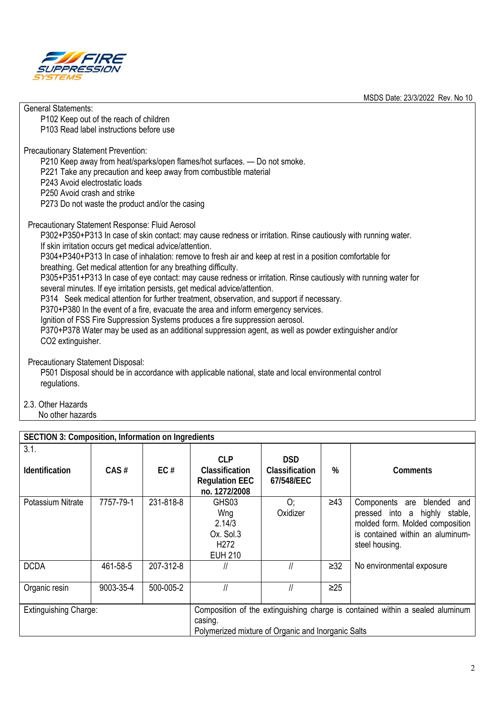

| ויוטרט בעניי. בשטובעבב ו זיין. וזיט וי                                                                          |
|-----------------------------------------------------------------------------------------------------------------|
| <b>General Statements:</b>                                                                                      |
| P102 Keep out of the reach of children                                                                          |
| P103 Read label instructions before use                                                                         |
|                                                                                                                 |
| Precautionary Statement Prevention:                                                                             |
| P210 Keep away from heat/sparks/open flames/hot surfaces. - Do not smoke.                                       |
| P221 Take any precaution and keep away from combustible material                                                |
| P243 Avoid electrostatic loads                                                                                  |
| P250 Avoid crash and strike                                                                                     |
| P273 Do not waste the product and/or the casing                                                                 |
|                                                                                                                 |
| Precautionary Statement Response: Fluid Aerosol                                                                 |
| P302+P350+P313 In case of skin contact: may cause redness or irritation. Rinse cautiously with running water.   |
| If skin irritation occurs get medical advice/attention.                                                         |
| P304+P340+P313 In case of inhalation: remove to fresh air and keep at rest in a position comfortable for        |
| breathing. Get medical attention for any breathing difficulty.                                                  |
| P305+P351+P313 In case of eye contact: may cause redness or irritation. Rinse cautiously with running water for |
| several minutes. If eye irritation persists, get medical advice/attention.                                      |
| P314 Seek medical attention for further treatment, observation, and support if necessary.                       |
| P370+P380 In the event of a fire, evacuate the area and inform emergency services.                              |
| Ignition of FSS Fire Suppression Systems produces a fire suppression aerosol.                                   |
| P370+P378 Water may be used as an additional suppression agent, as well as powder extinguisher and/or           |
| CO2 extinguisher.                                                                                               |
|                                                                                                                 |
| Precautionary Statement Disposal:                                                                               |
| P501 Disposal should be in accordance with applicable national, state and local environmental control           |
| regulations.                                                                                                    |
|                                                                                                                 |
| 2.3. Other Hazards                                                                                              |

No other hazards

| <b>SECTION 3: Composition, Information on Ingredients</b> |           |                                                               |                                                                               |                                            |                                                                               |                                                                                                                                                                  |
|-----------------------------------------------------------|-----------|---------------------------------------------------------------|-------------------------------------------------------------------------------|--------------------------------------------|-------------------------------------------------------------------------------|------------------------------------------------------------------------------------------------------------------------------------------------------------------|
| 3.1.<br><b>Identification</b>                             | CAS#      | EC#                                                           | <b>CLP</b><br><b>Classification</b><br><b>Regulation EEC</b><br>no. 1272/2008 | <b>DSD</b><br>Classification<br>67/548/EEC | %                                                                             | <b>Comments</b>                                                                                                                                                  |
| Potassium Nitrate                                         | 7757-79-1 | 231-818-8                                                     | GHS03<br>Wng<br>2.14/3<br>Ox. Sol.3<br>H <sub>272</sub><br><b>EUH 210</b>     | O:<br>Oxidizer                             | $\geq 43$                                                                     | Components are<br>blended<br>and<br>pressed into a<br>highly<br>stable,<br>molded form. Molded composition<br>is contained within an aluminum-<br>steel housing. |
| <b>DCDA</b>                                               | 461-58-5  | 207-312-8                                                     |                                                                               | $\mathcal{U}$                              | $\geq$ 32                                                                     | No environmental exposure                                                                                                                                        |
| Organic resin                                             | 9003-35-4 | 500-005-2                                                     | $^{\prime\prime}$                                                             | $\prime$                                   | $\geq 25$                                                                     |                                                                                                                                                                  |
| <b>Extinguishing Charge:</b>                              |           | casing.<br>Polymerized mixture of Organic and Inorganic Salts |                                                                               |                                            | Composition of the extinguishing charge is contained within a sealed aluminum |                                                                                                                                                                  |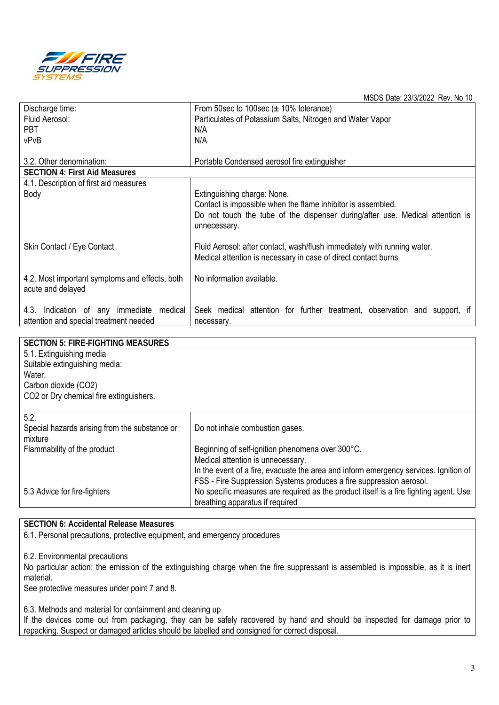

|                                                | MSDS Date: 23/3/2022 Rev. No 10                                               |
|------------------------------------------------|-------------------------------------------------------------------------------|
| Discharge time:                                | From 50sec to 100sec $(\pm 10\%$ tolerance)                                   |
| Fluid Aerosol:                                 | Particulates of Potassium Salts, Nitrogen and Water Vapor                     |
| <b>PBT</b>                                     | N/A                                                                           |
| vPvB                                           | N/A                                                                           |
|                                                |                                                                               |
| 3.2. Other denomination:                       | Portable Condensed aerosol fire extinguisher                                  |
| <b>SECTION 4: First Aid Measures</b>           |                                                                               |
| 4.1. Description of first aid measures         |                                                                               |
| Body                                           | Extinguishing charge: None.                                                   |
|                                                | Contact is impossible when the flame inhibitor is assembled.                  |
|                                                | Do not touch the tube of the dispenser during/after use. Medical attention is |
|                                                | unnecessary.                                                                  |
|                                                |                                                                               |
| Skin Contact / Eye Contact                     | Fluid Aerosol: after contact, wash/flush immediately with running water.      |
|                                                | Medical attention is necessary in case of direct contact burns                |
|                                                |                                                                               |
| 4.2. Most important symptoms and effects, both | No information available.                                                     |
| acute and delayed                              |                                                                               |
|                                                |                                                                               |
| 4.3. Indication of any immediate medical       | Seek medical attention for further treatment, observation and support, if     |
| attention and special treatment needed         | necessary.                                                                    |

| <b>SECTION 5: FIRE-FIGHTING MEASURES</b>                 |                                                                                       |
|----------------------------------------------------------|---------------------------------------------------------------------------------------|
| 5.1. Extinguishing media                                 |                                                                                       |
| Suitable extinguishing media:                            |                                                                                       |
| Water.                                                   |                                                                                       |
| Carbon dioxide (CO2)                                     |                                                                                       |
| CO2 or Dry chemical fire extinguishers.                  |                                                                                       |
|                                                          |                                                                                       |
| 5.2.                                                     |                                                                                       |
| Special hazards arising from the substance or<br>mixture | Do not inhale combustion gases.                                                       |
| Flammability of the product                              | Beginning of self-ignition phenomena over 300°C.                                      |
|                                                          | Medical attention is unnecessary.                                                     |
|                                                          | In the event of a fire, evacuate the area and inform emergency services. Ignition of  |
|                                                          | FSS - Fire Suppression Systems produces a fire suppression aerosol.                   |
| 5.3 Advice for fire-fighters                             | No specific measures are required as the product itself is a fire fighting agent. Use |
|                                                          | breathing apparatus if required                                                       |

### **SECTION 6: Accidental Release Measures**

6.1. Personal precautions, protective equipment, and emergency procedures

6.2. Environmental precautions

No particular action: the emission of the extinguishing charge when the fire suppressant is assembled is impossible, as it is inert material.

See protective measures under point 7 and 8.

6.3. Methods and material for containment and cleaning up

If the devices come out from packaging, they can be safely recovered by hand and should be inspected for damage prior to repacking. Suspect or damaged articles should be labelled and consigned for correct disposal.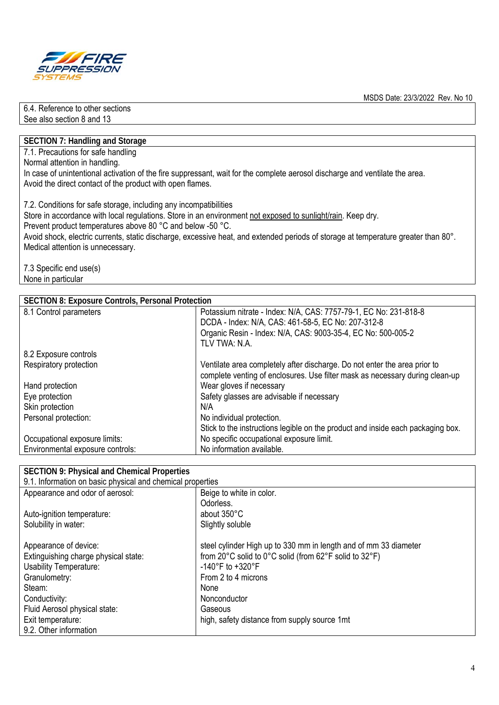

### 6.4. Reference to other sections See also section 8 and 13

#### **SECTION 7: Handling and Storage**

7.1. Precautions for safe handling

Normal attention in handling.

In case of unintentional activation of the fire suppressant, wait for the complete aerosol discharge and ventilate the area. Avoid the direct contact of the product with open flames.

7.2. Conditions for safe storage, including any incompatibilities

Store in accordance with local regulations. Store in an environment not exposed to sunlight/rain. Keep dry.

Prevent product temperatures above 80 °C and below -50 °C.

Avoid shock, electric currents, static discharge, excessive heat, and extended periods of storage at temperature greater than 80°. Medical attention is unnecessary.

7.3 Specific end use(s) None in particular

| <b>SECTION 8: Exposure Controls, Personal Protection</b> |                                                                                                                                                           |
|----------------------------------------------------------|-----------------------------------------------------------------------------------------------------------------------------------------------------------|
| 8.1 Control parameters                                   | Potassium nitrate - Index: N/A, CAS: 7757-79-1, EC No: 231-818-8                                                                                          |
|                                                          | DCDA - Index: N/A, CAS: 461-58-5, EC No: 207-312-8                                                                                                        |
|                                                          | Organic Resin - Index: N/A, CAS: 9003-35-4, EC No: 500-005-2                                                                                              |
|                                                          | TLV TWA: N.A.                                                                                                                                             |
| 8.2 Exposure controls                                    |                                                                                                                                                           |
| Respiratory protection                                   | Ventilate area completely after discharge. Do not enter the area prior to<br>complete venting of enclosures. Use filter mask as necessary during clean-up |
| Hand protection                                          | Wear gloves if necessary                                                                                                                                  |
| Eye protection                                           | Safety glasses are advisable if necessary                                                                                                                 |
| Skin protection                                          | N/A                                                                                                                                                       |
| Personal protection:                                     | No individual protection.                                                                                                                                 |
|                                                          | Stick to the instructions legible on the product and inside each packaging box.                                                                           |
| Occupational exposure limits:                            | No specific occupational exposure limit.                                                                                                                  |
| Environmental exposure controls:                         | No information available.                                                                                                                                 |

| <b>SECTION 9: Physical and Chemical Properties</b>         |                                                                  |
|------------------------------------------------------------|------------------------------------------------------------------|
| 9.1. Information on basic physical and chemical properties |                                                                  |
| Appearance and odor of aerosol:                            | Beige to white in color.                                         |
|                                                            | Odorless.                                                        |
| Auto-ignition temperature:                                 | about 350°C                                                      |
| Solubility in water:                                       | Slightly soluble                                                 |
| Appearance of device:                                      | steel cylinder High up to 330 mm in length and of mm 33 diameter |
| Extinguishing charge physical state:                       | from 20°C solid to 0°C solid (from 62°F solid to 32°F)           |
| <b>Usability Temperature:</b>                              | $-140^{\circ}$ F to $+320^{\circ}$ F                             |
| Granulometry:                                              | From 2 to 4 microns                                              |
| Steam:                                                     | None                                                             |
| Conductivity:                                              | Nonconductor                                                     |
| Fluid Aerosol physical state:                              | Gaseous                                                          |
| Exit temperature:                                          | high, safety distance from supply source 1mt                     |
| 9.2. Other information                                     |                                                                  |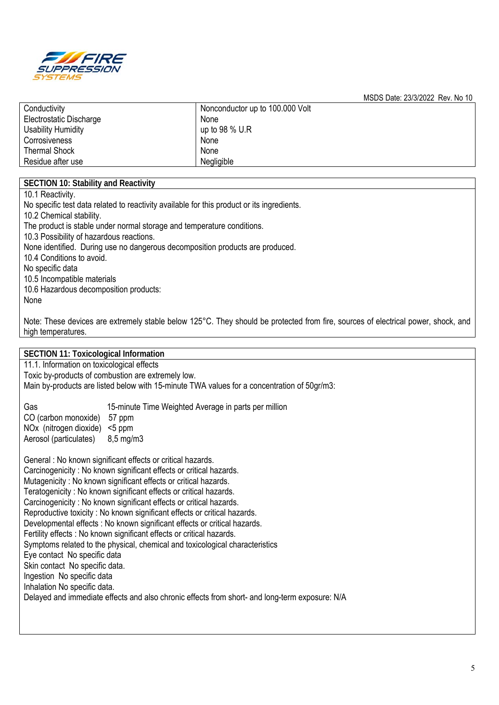

|                           | MSDS Date: 23/3/2022 Rev. No 10 |
|---------------------------|---------------------------------|
| Conductivity              | Nonconductor up to 100.000 Volt |
| Electrostatic Discharge   | None                            |
| <b>Usability Humidity</b> | up to 98 $%$ U.R                |
| Corrosiveness             | None                            |
| <b>Thermal Shock</b>      | None                            |
| Residue after use         | Negligible                      |

### **SECTION 10: Stability and Reactivity**

10.1 Reactivity.

No specific test data related to reactivity available for this product or its ingredients.

10.2 Chemical stability.

The product is stable under normal storage and temperature conditions.

10.3 Possibility of hazardous reactions.

None identified. During use no dangerous decomposition products are produced.

10.4 Conditions to avoid.

No specific data

10.5 Incompatible materials

10.6 Hazardous decomposition products:

None

Note: These devices are extremely stable below 125°C. They should be protected from fire, sources of electrical power, shock, and high temperatures.

**SECTION 11: Toxicological Information** 

11.1. Information on toxicological effects

Toxic by-products of combustion are extremely low.

Main by-products are listed below with 15-minute TWA values for a concentration of 50gr/m3:

Gas 15-minute Time Weighted Average in parts per million

CO (carbon monoxide) 57 ppm

NOx (nitrogen dioxide) <5 ppm

Aerosol (particulates) 8,5 mg/m3

General : No known significant effects or critical hazards. Carcinogenicity : No known significant effects or critical hazards. Mutagenicity : No known significant effects or critical hazards. Teratogenicity : No known significant effects or critical hazards. Carcinogenicity : No known significant effects or critical hazards. Reproductive toxicity : No known significant effects or critical hazards. Developmental effects : No known significant effects or critical hazards. Fertility effects : No known significant effects or critical hazards. Symptoms related to the physical, chemical and toxicological characteristics Eye contact No specific data Skin contact No specific data. Ingestion No specific data Inhalation No specific data. Delayed and immediate effects and also chronic effects from short- and long-term exposure: N/A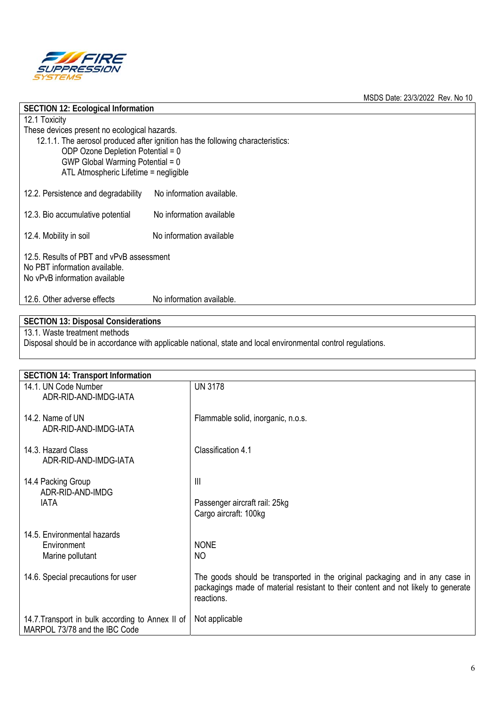

| <b>SECTION 12: Ecological Information</b>    |                                                                                |
|----------------------------------------------|--------------------------------------------------------------------------------|
| 12.1 Toxicity                                |                                                                                |
| These devices present no ecological hazards. |                                                                                |
|                                              | 12.1.1. The aerosol produced after ignition has the following characteristics: |
| ODP Ozone Depletion Potential = 0            |                                                                                |
| GWP Global Warming Potential = $0$           |                                                                                |
| ATL Atmospheric Lifetime = negligible        |                                                                                |
|                                              |                                                                                |
| 12.2. Persistence and degradability          | No information available.                                                      |
|                                              |                                                                                |
| 12.3. Bio accumulative potential             | No information available                                                       |
| 12.4. Mobility in soil                       | No information available                                                       |
|                                              |                                                                                |
| 12.5. Results of PBT and vPvB assessment     |                                                                                |
| No PBT information available.                |                                                                                |
| No vPvB information available                |                                                                                |
|                                              |                                                                                |
| 12.6. Other adverse effects                  | No information available.                                                      |

## **SECTION 13: Disposal Considerations**  13.1. Waste treatment methods

Disposal should be in accordance with applicable national, state and local environmental control regulations.

| <b>SECTION 14: Transport Information</b>                                          |                                                                                                                                                                                 |
|-----------------------------------------------------------------------------------|---------------------------------------------------------------------------------------------------------------------------------------------------------------------------------|
| 14.1. UN Code Number<br>ADR-RID-AND-IMDG-IATA                                     | <b>UN 3178</b>                                                                                                                                                                  |
| 14.2. Name of UN<br>ADR-RID-AND-IMDG-IATA                                         | Flammable solid, inorganic, n.o.s.                                                                                                                                              |
| 14.3. Hazard Class<br>ADR-RID-AND-IMDG-IATA                                       | Classification 4.1                                                                                                                                                              |
| 14.4 Packing Group<br>ADR-RID-AND-IMDG                                            | Ш                                                                                                                                                                               |
| IATA                                                                              | Passenger aircraft rail: 25kg<br>Cargo aircraft: 100kg                                                                                                                          |
| 14.5. Environmental hazards                                                       |                                                                                                                                                                                 |
| Environment                                                                       | <b>NONE</b>                                                                                                                                                                     |
| Marine pollutant                                                                  | NO.                                                                                                                                                                             |
| 14.6. Special precautions for user                                                | The goods should be transported in the original packaging and in any case in<br>packagings made of material resistant to their content and not likely to generate<br>reactions. |
| 14.7. Transport in bulk according to Annex II of<br>MARPOL 73/78 and the IBC Code | Not applicable                                                                                                                                                                  |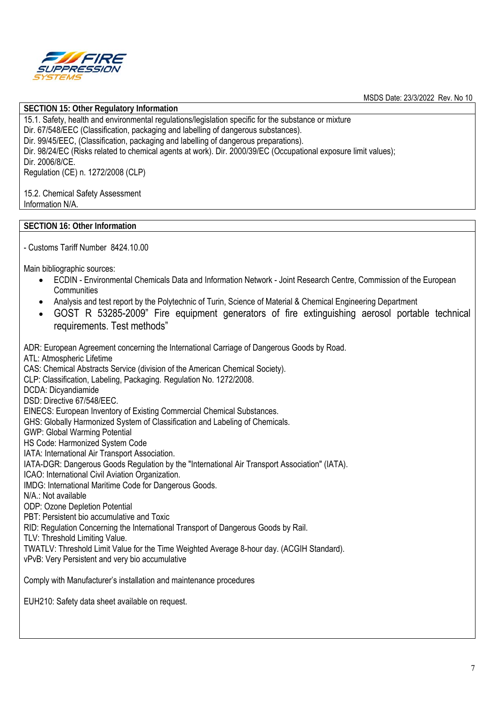

**SECTION 15: Other Regulatory Information**  15.1. Safety, health and environmental regulations/legislation specific for the substance or mixture Dir. 67/548/EEC (Classification, packaging and labelling of dangerous substances). Dir. 99/45/EEC, (Classification, packaging and labelling of dangerous preparations). Dir. 98/24/EC (Risks related to chemical agents at work). Dir. 2000/39/EC (Occupational exposure limit values); Dir. 2006/8/CE. Regulation (CE) n. 1272/2008 (CLP)

15.2. Chemical Safety Assessment Information N/A.

## **SECTION 16: Other Information**

- Customs Tariff Number 8424.10.00

Main bibliographic sources:

- ECDIN Environmental Chemicals Data and Information Network Joint Research Centre, Commission of the European Communities
- Analysis and test report by the Polytechnic of Turin, Science of Material & Chemical Engineering Department
- GOST R 53285-2009" Fire equipment generators of fire extinguishing aerosol portable technical requirements. Test methods"

ADR: European Agreement concerning the International Carriage of Dangerous Goods by Road.

ATL: Atmospheric Lifetime

CAS: Chemical Abstracts Service (division of the American Chemical Society).

CLP: Classification, Labeling, Packaging. Regulation No. 1272/2008.

DCDA: Dicyandiamide

DSD: Directive 67/548/EEC.

EINECS: European Inventory of Existing Commercial Chemical Substances.

GHS: Globally Harmonized System of Classification and Labeling of Chemicals.

GWP: Global Warming Potential

HS Code: Harmonized System Code

IATA: International Air Transport Association.

IATA-DGR: Dangerous Goods Regulation by the "International Air Transport Association" (IATA).

ICAO: International Civil Aviation Organization.

IMDG: International Maritime Code for Dangerous Goods.

N/A.: Not available

ODP: Ozone Depletion Potential

PBT: Persistent bio accumulative and Toxic

RID: Regulation Concerning the International Transport of Dangerous Goods by Rail.

TLV: Threshold Limiting Value.

TWATLV: Threshold Limit Value for the Time Weighted Average 8-hour day. (ACGIH Standard).

vPvB: Very Persistent and very bio accumulative

Comply with Manufacturer's installation and maintenance procedures

EUH210: Safety data sheet available on request.